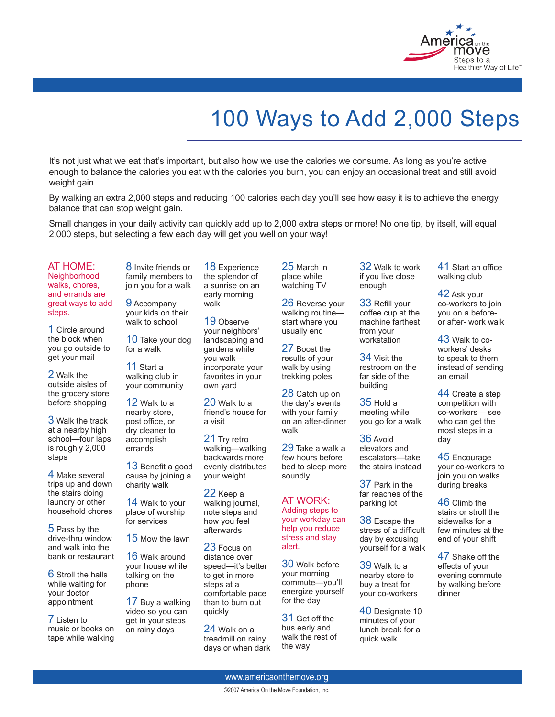

## 100 Ways to Add 2,000 Steps

It's not just what we eat that's important, but also how we use the calories we consume. As long as you're active enough to balance the calories you eat with the calories you burn, you can enjoy an occasional treat and still avoid weight gain.

By walking an extra 2,000 steps and reducing 100 calories each day you'll see how easy it is to achieve the energy balance that can stop weight gain.

Small changes in your daily activity can quickly add up to 2,000 extra steps or more! No one tip, by itself, will equal 2,000 steps, but selecting a few each day will get you well on your way!

AT HOME: **Neighborhood** 

walks, chores, and errands are great ways to add steps.

1 Circle around the block when you go outside to get your mail

2 Walk the outside aisles of the grocery store before shopping

3 Walk the track at a nearby high school—four laps is roughly 2,000 steps<sup>1</sup>

4 Make several trips up and down the stairs doing laundry or other household chores

5 Pass by the drive-thru window and walk into the bank or restaurant

6 Stroll the halls while waiting for your doctor appointment

7 Listen to music or books on tape while walking

8 Invite friends or family members to join you for a walk

9 Accompany your kids on their walk to school

10 Take your dog for a walk

11 Start a walking club in your community

12 Walk to a nearby store, post office, or dry cleaner to accomplish errands

13 Benefit a good cause by joining a charity walk

14 Walk to your place of worship for services

15 Mow the lawn

16 Walk around your house while talking on the phone

17 Buy a walking video so you can get in your steps on rainy days

18 Experience the splendor of a sunrise on an early morning walk

19 Observe your neighbors' landscaping and gardens while you walk incorporate your favorites in your own yard

20 Walk to a friend's house for a visit

21 Try retro walking—walking backwards more evenly distributes your weight

22 Keep a walking journal, note steps and how you feel afterwards

23 Focus on distance over speed—it's better to get in more steps at a comfortable pace than to burn out quickly

24 Walk on a treadmill on rainy days or when dark

25 March in place while watching TV

26 Reverse your walking routine start where you usually end

27 Boost the results of your walk by using trekking poles

28 Catch up on the day's events with your family on an after-dinner walk

29 Take a walk a few hours before bed to sleep more soundly

AT WORK: Adding steps to your workday can help you reduce stress and stay alert.

30 Walk before your morning commute—you'll energize yourself for the day

31 Get off the bus early and walk the rest of the way

32 Walk to work if you live close enough

33 Refill your coffee cup at the machine farthest from your workstation

34 Visit the restroom on the far side of the building

35 Hold a meeting while you go for a walk

36 Avoid elevators and escalators—take the stairs instead

37 Park in the far reaches of the parking lot

38 Escape the stress of a difficult day by excusing yourself for a walk

39 Walk to a nearby store to buy a treat for your co-workers

40 Designate 10 minutes of your lunch break for a quick walk

41 Start an office walking club

42 Ask your co-workers to join you on a beforeor after- work walk

43 Walk to coworkers' desks to speak to them instead of sending an email

44 Create a step competition with co-workers— see who can get the most steps in a day

45 Encourage your co-workers to join you on walks during breaks

46 Climb the stairs or stroll the sidewalks for a few minutes at the end of your shift

47 Shake off the effects of your evening commute by walking before dinner

www.americaonthemove.org

©2007 America On the Move Foundation, Inc.